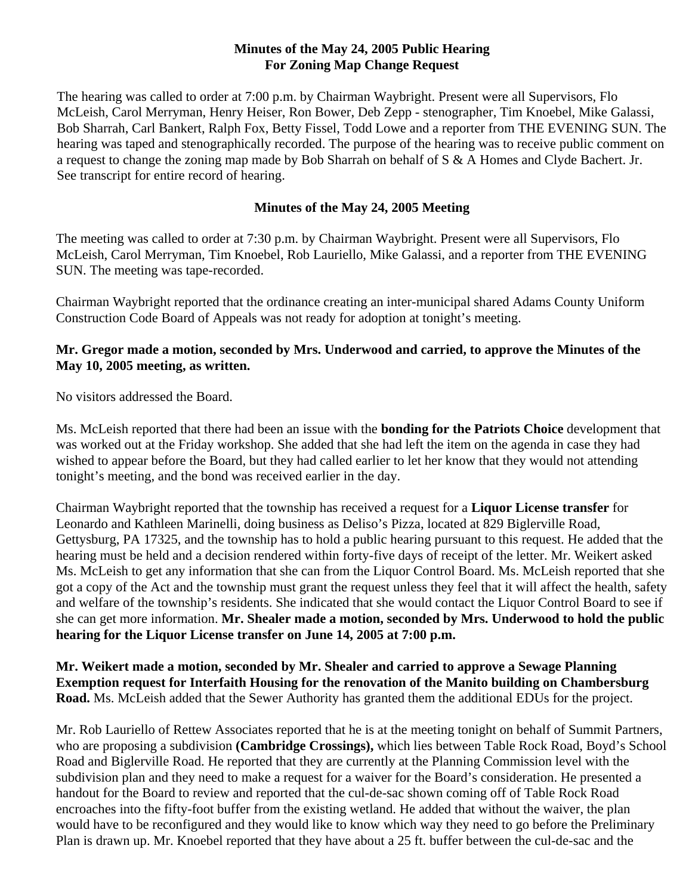## **Minutes of the May 24, 2005 Public Hearing For Zoning Map Change Request**

The hearing was called to order at 7:00 p.m. by Chairman Waybright. Present were all Supervisors, Flo McLeish, Carol Merryman, Henry Heiser, Ron Bower, Deb Zepp - stenographer, Tim Knoebel, Mike Galassi, Bob Sharrah, Carl Bankert, Ralph Fox, Betty Fissel, Todd Lowe and a reporter from THE EVENING SUN. The hearing was taped and stenographically recorded. The purpose of the hearing was to receive public comment on a request to change the zoning map made by Bob Sharrah on behalf of S & A Homes and Clyde Bachert. Jr. See transcript for entire record of hearing.

## **Minutes of the May 24, 2005 Meeting**

The meeting was called to order at 7:30 p.m. by Chairman Waybright. Present were all Supervisors, Flo McLeish, Carol Merryman, Tim Knoebel, Rob Lauriello, Mike Galassi, and a reporter from THE EVENING SUN. The meeting was tape-recorded.

Chairman Waybright reported that the ordinance creating an inter-municipal shared Adams County Uniform Construction Code Board of Appeals was not ready for adoption at tonight's meeting.

## **Mr. Gregor made a motion, seconded by Mrs. Underwood and carried, to approve the Minutes of the May 10, 2005 meeting, as written.**

No visitors addressed the Board.

Ms. McLeish reported that there had been an issue with the **bonding for the Patriots Choice** development that was worked out at the Friday workshop. She added that she had left the item on the agenda in case they had wished to appear before the Board, but they had called earlier to let her know that they would not attending tonight's meeting, and the bond was received earlier in the day.

Chairman Waybright reported that the township has received a request for a **Liquor License transfer** for Leonardo and Kathleen Marinelli, doing business as Deliso's Pizza, located at 829 Biglerville Road, Gettysburg, PA 17325, and the township has to hold a public hearing pursuant to this request. He added that the hearing must be held and a decision rendered within forty-five days of receipt of the letter. Mr. Weikert asked Ms. McLeish to get any information that she can from the Liquor Control Board. Ms. McLeish reported that she got a copy of the Act and the township must grant the request unless they feel that it will affect the health, safety and welfare of the township's residents. She indicated that she would contact the Liquor Control Board to see if she can get more information. **Mr. Shealer made a motion, seconded by Mrs. Underwood to hold the public hearing for the Liquor License transfer on June 14, 2005 at 7:00 p.m.**

**Mr. Weikert made a motion, seconded by Mr. Shealer and carried to approve a Sewage Planning Exemption request for Interfaith Housing for the renovation of the Manito building on Chambersburg Road.** Ms. McLeish added that the Sewer Authority has granted them the additional EDUs for the project.

Mr. Rob Lauriello of Rettew Associates reported that he is at the meeting tonight on behalf of Summit Partners, who are proposing a subdivision **(Cambridge Crossings),** which lies between Table Rock Road, Boyd's School Road and Biglerville Road. He reported that they are currently at the Planning Commission level with the subdivision plan and they need to make a request for a waiver for the Board's consideration. He presented a handout for the Board to review and reported that the cul-de-sac shown coming off of Table Rock Road encroaches into the fifty-foot buffer from the existing wetland. He added that without the waiver, the plan would have to be reconfigured and they would like to know which way they need to go before the Preliminary Plan is drawn up. Mr. Knoebel reported that they have about a 25 ft. buffer between the cul-de-sac and the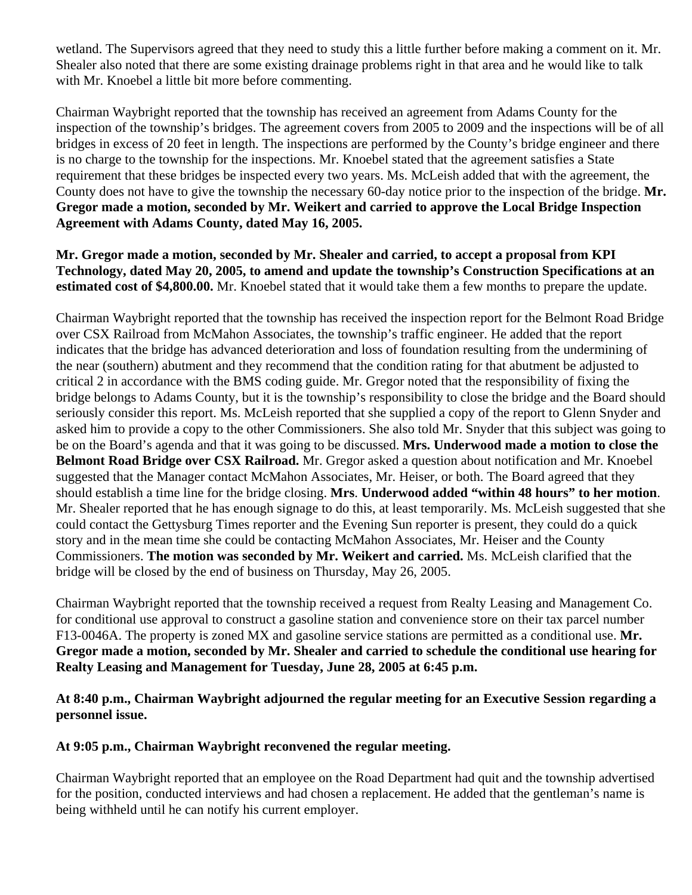wetland. The Supervisors agreed that they need to study this a little further before making a comment on it. Mr. Shealer also noted that there are some existing drainage problems right in that area and he would like to talk with Mr. Knoebel a little bit more before commenting.

Chairman Waybright reported that the township has received an agreement from Adams County for the inspection of the township's bridges. The agreement covers from 2005 to 2009 and the inspections will be of all bridges in excess of 20 feet in length. The inspections are performed by the County's bridge engineer and there is no charge to the township for the inspections. Mr. Knoebel stated that the agreement satisfies a State requirement that these bridges be inspected every two years. Ms. McLeish added that with the agreement, the County does not have to give the township the necessary 60-day notice prior to the inspection of the bridge. **Mr. Gregor made a motion, seconded by Mr. Weikert and carried to approve the Local Bridge Inspection Agreement with Adams County, dated May 16, 2005.** 

**Mr. Gregor made a motion, seconded by Mr. Shealer and carried, to accept a proposal from KPI Technology, dated May 20, 2005, to amend and update the township's Construction Specifications at an estimated cost of \$4,800.00.** Mr. Knoebel stated that it would take them a few months to prepare the update.

Chairman Waybright reported that the township has received the inspection report for the Belmont Road Bridge over CSX Railroad from McMahon Associates, the township's traffic engineer. He added that the report indicates that the bridge has advanced deterioration and loss of foundation resulting from the undermining of the near (southern) abutment and they recommend that the condition rating for that abutment be adjusted to critical 2 in accordance with the BMS coding guide. Mr. Gregor noted that the responsibility of fixing the bridge belongs to Adams County, but it is the township's responsibility to close the bridge and the Board should seriously consider this report. Ms. McLeish reported that she supplied a copy of the report to Glenn Snyder and asked him to provide a copy to the other Commissioners. She also told Mr. Snyder that this subject was going to be on the Board's agenda and that it was going to be discussed. **Mrs. Underwood made a motion to close the Belmont Road Bridge over CSX Railroad.** Mr. Gregor asked a question about notification and Mr. Knoebel suggested that the Manager contact McMahon Associates, Mr. Heiser, or both. The Board agreed that they should establish a time line for the bridge closing. **Mrs**. **Underwood added "within 48 hours" to her motion**. Mr. Shealer reported that he has enough signage to do this, at least temporarily. Ms. McLeish suggested that she could contact the Gettysburg Times reporter and the Evening Sun reporter is present, they could do a quick story and in the mean time she could be contacting McMahon Associates, Mr. Heiser and the County Commissioners. **The motion was seconded by Mr. Weikert and carried.** Ms. McLeish clarified that the bridge will be closed by the end of business on Thursday, May 26, 2005.

Chairman Waybright reported that the township received a request from Realty Leasing and Management Co. for conditional use approval to construct a gasoline station and convenience store on their tax parcel number F13-0046A. The property is zoned MX and gasoline service stations are permitted as a conditional use. **Mr. Gregor made a motion, seconded by Mr. Shealer and carried to schedule the conditional use hearing for Realty Leasing and Management for Tuesday, June 28, 2005 at 6:45 p.m.** 

**At 8:40 p.m., Chairman Waybright adjourned the regular meeting for an Executive Session regarding a personnel issue.** 

## **At 9:05 p.m., Chairman Waybright reconvened the regular meeting.**

Chairman Waybright reported that an employee on the Road Department had quit and the township advertised for the position, conducted interviews and had chosen a replacement. He added that the gentleman's name is being withheld until he can notify his current employer.